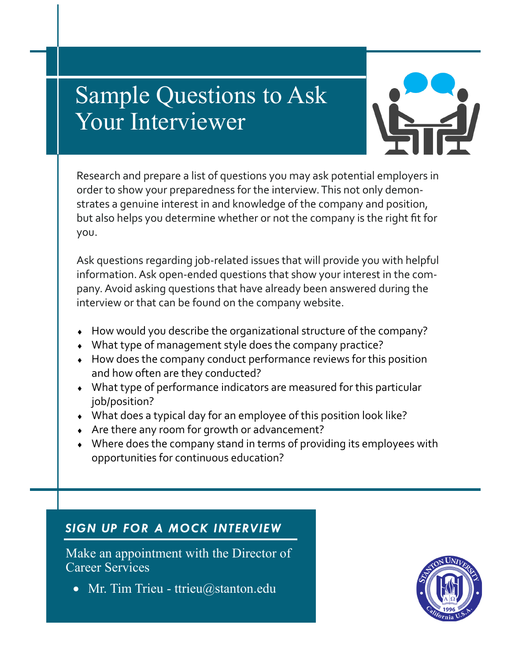# Sample Questions to Ask Your Interviewer



Research and prepare a list of questions you may ask potential employers in order to show your preparedness for the interview. This not only demonstrates a genuine interest in and knowledge of the company and position, but also helps you determine whether or not the company is the right fit for you.

Ask questions regarding job-related issues that will provide you with helpful information. Ask open-ended questions that show your interest in the company. Avoid asking questions that have already been answered during the interview or that can be found on the company website.

- How would you describe the organizational structure of the company?
- What type of management style does the company practice?
- How does the company conduct performance reviews for this position and how often are they conducted?
- What type of performance indicators are measured for this particular job/position?
- What does a typical day for an employee of this position look like?
- Are there any room for growth or advancement?
- Where does the company stand in terms of providing its employees with opportunities for continuous education?

# *SIGN UP FOR A MOCK INTERVIEW*

Make an appointment with the Director of Career Services

• Mr. Tim Trieu - ttrieu@stanton.edu

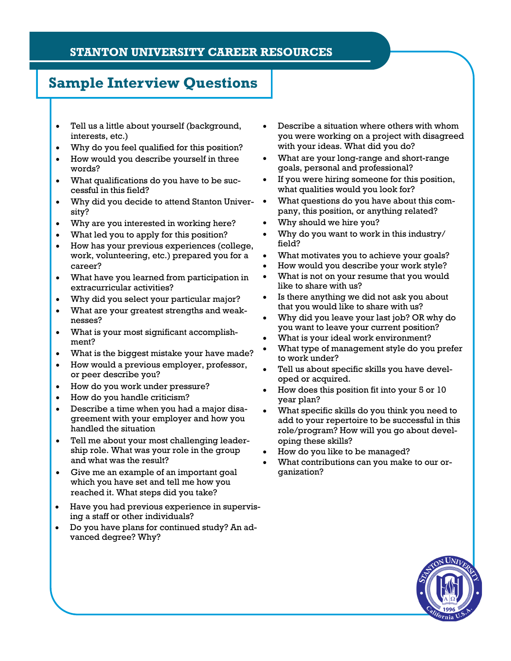#### **STANTON UNIVERSITY CAREER RESOURCES**

# **Sample Interview Questions**

- Tell us a little about yourself (background, interests, etc.)
- Why do you feel qualified for this position?
- How would you describe yourself in three words?
- What qualifications do you have to be successful in this field?
- Why did you decide to attend Stanton Univer- sity?
- Why are you interested in working here?
- What led you to apply for this position?
- How has your previous experiences (college, work, volunteering, etc.) prepared you for a career?
- What have you learned from participation in extracurricular activities?
- Why did you select your particular major?
- What are your greatest strengths and weaknesses?
- What is your most significant accomplishment?
- What is the biggest mistake your have made?
- How would a previous employer, professor, or peer describe you?
- How do you work under pressure?
- How do you handle criticism?
- Describe a time when you had a major disagreement with your employer and how you handled the situation
- Tell me about your most challenging leadership role. What was your role in the group and what was the result?
- Give me an example of an important goal which you have set and tell me how you reached it. What steps did you take?
- Have you had previous experience in supervising a staff or other individuals?
- Do you have plans for continued study? An advanced degree? Why?
- Describe a situation where others with whom you were working on a project with disagreed with your ideas. What did you do?
- What are your long-range and short-range goals, personal and professional?
- If you were hiring someone for this position, what qualities would you look for?
- What questions do you have about this company, this position, or anything related?
- Why should we hire you?
- Why do you want to work in this industry/ field?
- What motivates you to achieve your goals?
- How would you describe your work style?
- What is not on your resume that you would like to share with us?
- Is there anything we did not ask you about that you would like to share with us?
- Why did you leave your last job? OR why do you want to leave your current position?
- What is your ideal work environment?
- What type of management style do you prefer to work under?
- Tell us about specific skills you have developed or acquired.
- How does this position fit into your 5 or 10 year plan?
- What specific skills do you think you need to add to your repertoire to be successful in this role/program? How will you go about developing these skills?
- How do you like to be managed?
- What contributions can you make to our organization?